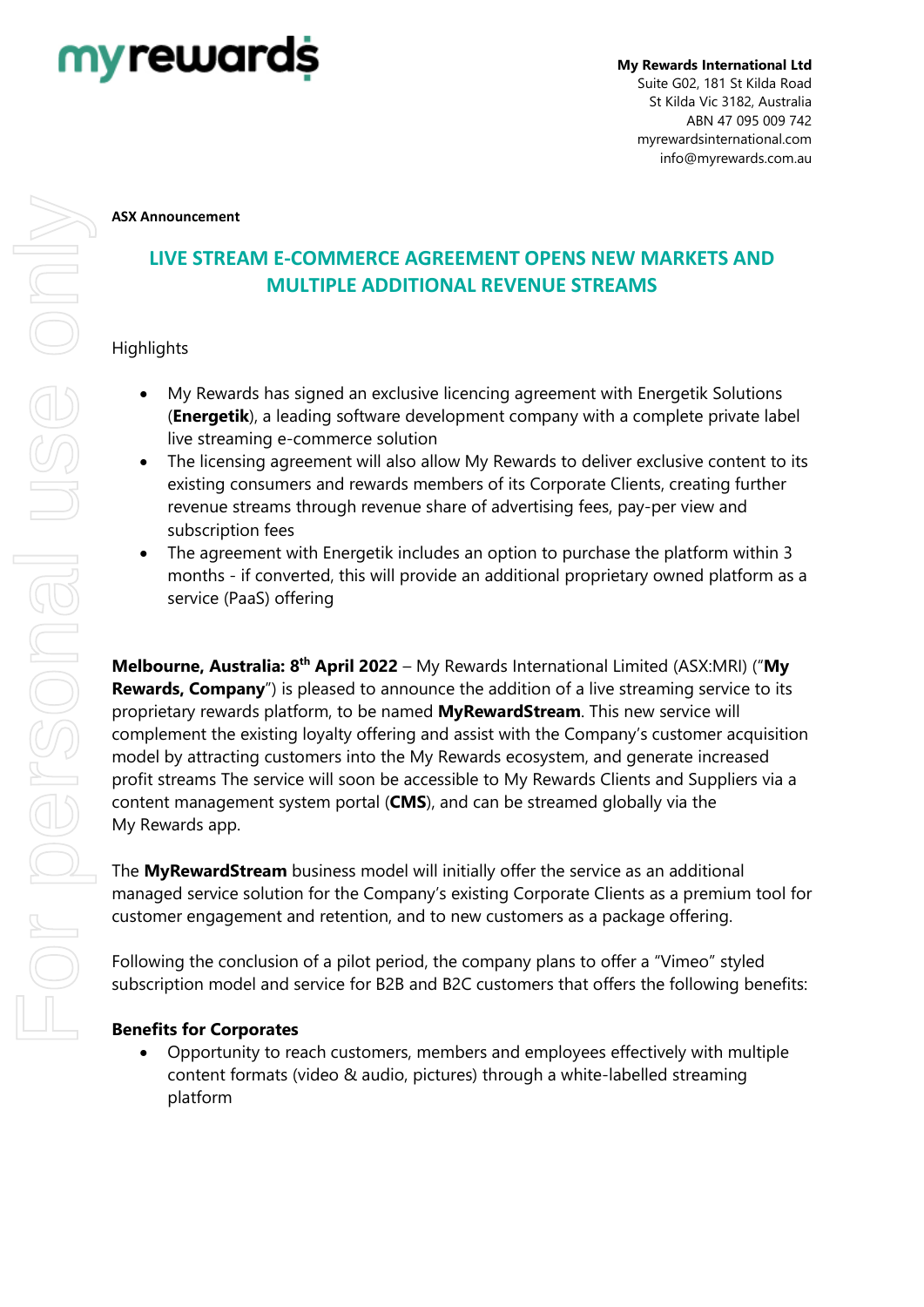

#### **ASX Announcement**

# **LIVE STREAM E-COMMERCE AGREEMENT OPENS NEW MARKETS AND MULTIPLE ADDITIONAL REVENUE STREAMS**

# **Highlights**

- My Rewards has signed an exclusive licencing agreement with Energetik Solutions (**Energetik**), a leading software development company with a complete private label live streaming e-commerce solution
- The licensing agreement will also allow My Rewards to deliver exclusive content to its existing consumers and rewards members of its Corporate Clients, creating further revenue streams through revenue share of advertising fees, pay-per view and subscription fees
- The agreement with Energetik includes an option to purchase the platform within 3 months - if converted, this will provide an additional proprietary owned platform as a service (PaaS) offering

**Melbourne, Australia: 8th April 2022** – My Rewards International Limited (ASX:MRI) ("**My Rewards, Company**") is pleased to announce the addition of a live streaming service to its proprietary rewards platform, to be named **MyRewardStream**. This new service will complement the existing loyalty offering and assist with the Company's customer acquisition model by attracting customers into the My Rewards ecosystem, and generate increased profit streams The service will soon be accessible to My Rewards Clients and Suppliers via a content management system portal (**CMS**), and can be streamed globally via the My Rewards app.

The **MyRewardStream** business model will initially offer the service as an additional managed service solution for the Company's existing Corporate Clients as a premium tool for customer engagement and retention, and to new customers as a package offering.

Following the conclusion of a pilot period, the company plans to offer a "Vimeo" styled subscription model and service for B2B and B2C customers that offers the following benefits:

## **Benefits for Corporates**

• Opportunity to reach customers, members and employees effectively with multiple content formats (video & audio, pictures) through a white-labelled streaming platform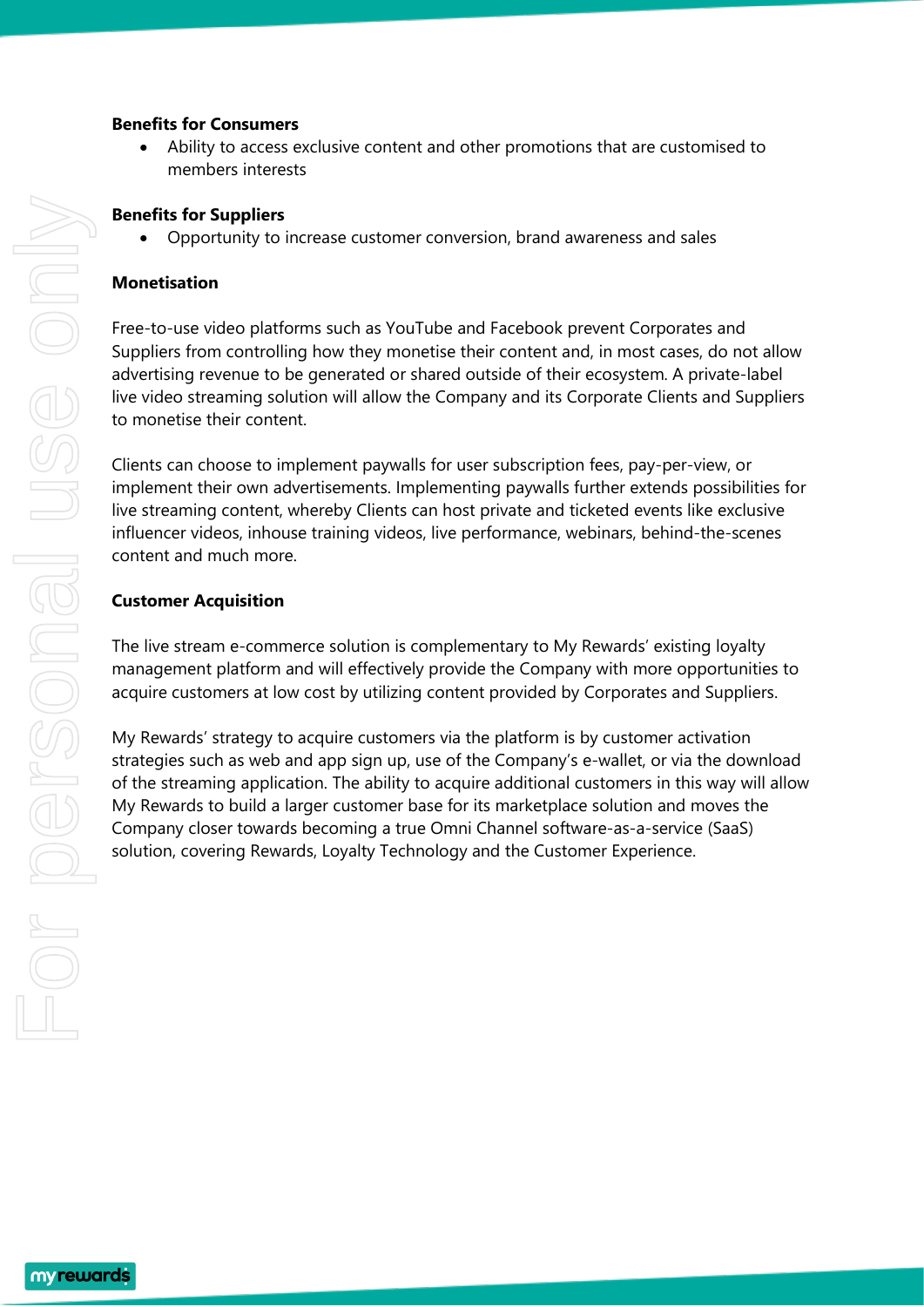#### **Benefits for Consumers**

• Ability to access exclusive content and other promotions that are customised to members interests

#### **Benefits for Suppliers**

• Opportunity to increase customer conversion, brand awareness and sales

#### **Monetisation**

Free-to-use video platforms such as YouTube and Facebook prevent Corporates and Suppliers from controlling how they monetise their content and, in most cases, do not allow advertising revenue to be generated or shared outside of their ecosystem. A private-label live video streaming solution will allow the Company and its Corporate Clients and Suppliers to monetise their content.

Clients can choose to implement paywalls for user subscription fees, pay-per-view, or implement their own advertisements. Implementing paywalls further extends possibilities for live streaming content, whereby Clients can host private and ticketed events like exclusive influencer videos, inhouse training videos, live performance, webinars, behind-the-scenes content and much more.

#### **Customer Acquisition**

The live stream e-commerce solution is complementary to My Rewards' existing loyalty management platform and will effectively provide the Company with more opportunities to acquire customers at low cost by utilizing content provided by Corporates and Suppliers.

My Rewards' strategy to acquire customers via the platform is by customer activation strategies such as web and app sign up, use of the Company's e-wallet, or via the download of the streaming application. The ability to acquire additional customers in this way will allow My Rewards to build a larger customer base for its marketplace solution and moves the Company closer towards becoming a true Omni Channel software-as-a-service (SaaS) solution, covering Rewards, Loyalty Technology and the Customer Experience.

myrewards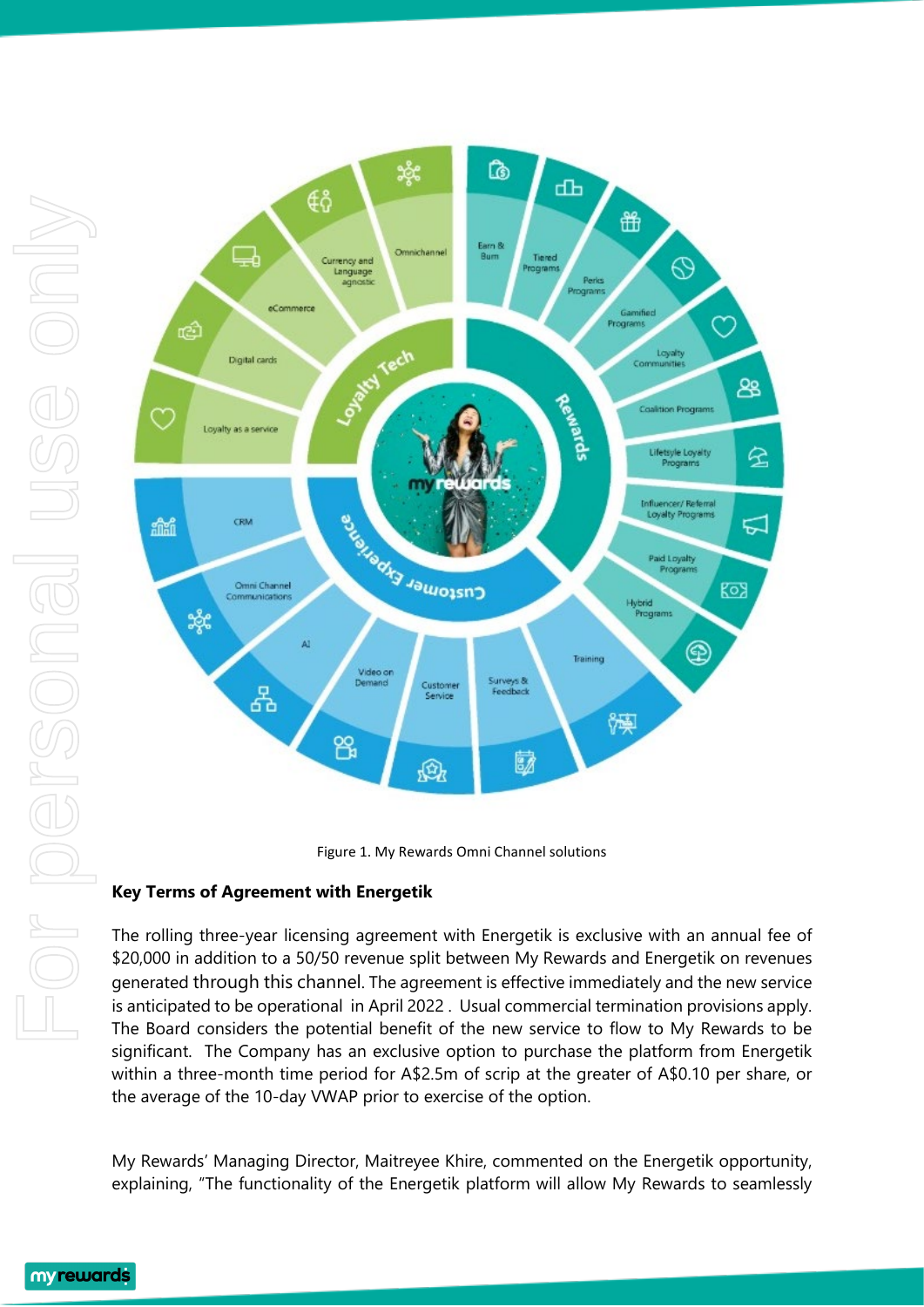



## **Key Terms of Agreement with Energetik**

The rolling three-year licensing agreement with Energetik is exclusive with an annual fee of \$20,000 in addition to a 50/50 revenue split between My Rewards and Energetik on revenues generated through this channel. The agreement is effective immediately and the new service is anticipated to be operational in April 2022 . Usual commercial termination provisions apply. The Board considers the potential benefit of the new service to flow to My Rewards to be significant. The Company has an exclusive option to purchase the platform from Energetik within a three-month time period for A\$2.5m of scrip at the greater of A\$0.10 per share, or the average of the 10-day VWAP prior to exercise of the option.

My Rewards' Managing Director, Maitreyee Khire, commented on the Energetik opportunity, explaining, "The functionality of the Energetik platform will allow My Rewards to seamlessly

myrewards